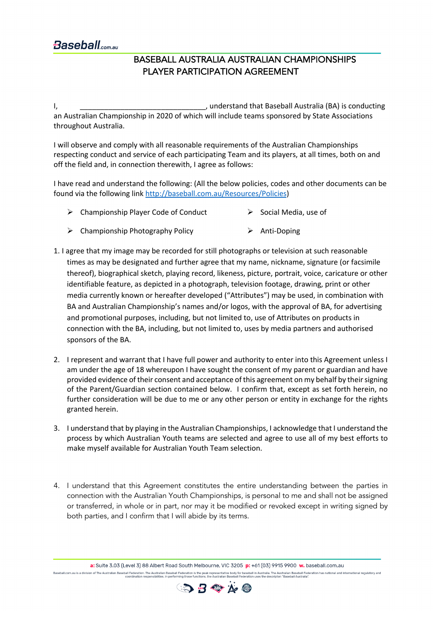## BASEBALL AUSTRALIA AUSTRALIAN CHAMPIONSHIPS PLAYER PARTICIPATION AGREEMENT

I, Lacktransform and the standard symbol conducting the state of the state of the state of the state of the state of the state of the state of the state of the state of the state of the state of the state of the state of t an Australian Championship in 2020 of which will include teams sponsored by State Associations throughout Australia.

I will observe and comply with all reasonable requirements of the Australian Championships respecting conduct and service of each participating Team and its players, at all times, both on and off the field and, in connection therewith, I agree as follows:

I have read and understand the following: (All the below policies, codes and other documents can be found via the following link http://baseball.com.au/Resources/Policies)

- $\triangleright$  Championship Player Code of Conduct  $\triangleright$  Social Media, use of
- $\triangleright$  Championship Photography Policy  $\triangleright$  Anti-Doping
- 1. I agree that my image may be recorded for still photographs or television at such reasonable times as may be designated and further agree that my name, nickname, signature (or facsimile thereof), biographical sketch, playing record, likeness, picture, portrait, voice, caricature or other identifiable feature, as depicted in a photograph, television footage, drawing, print or other media currently known or hereafter developed ("Attributes") may be used, in combination with BA and Australian Championship's names and/or logos, with the approval of BA, for advertising and promotional purposes, including, but not limited to, use of Attributes on products in connection with the BA, including, but not limited to, uses by media partners and authorised sponsors of the BA.
- 2. I represent and warrant that I have full power and authority to enter into this Agreement unless I am under the age of 18 whereupon I have sought the consent of my parent or guardian and have provided evidence of their consent and acceptance of this agreement on my behalf by their signing of the Parent/Guardian section contained below. I confirm that, except as set forth herein, no further consideration will be due to me or any other person or entity in exchange for the rights granted herein.
- 3. I understand that by playing in the Australian Championships, I acknowledge that I understand the process by which Australian Youth teams are selected and agree to use all of my best efforts to make myself available for Australian Youth Team selection.
- 4. I understand that this Agreement constitutes the entire understanding between the parties in connection with the Australian Youth Championships, is personal to me and shall not be assigned or transferred, in whole or in part, nor may it be modified or revoked except in writing signed by both parties, and I confirm that I will abide by its terms.

a: Suite 3.03 (Level 3) 88 Albert Road South Melbourne. VIC 3205 p: +61 (03) 9915 9900 w. baseball.com.au eball.com.au is a division of The Australian Baseball Federation. The Australian Baseball Federation is the peak representative boord for baseball in Australia. Daseball Federation has national and international regulatory